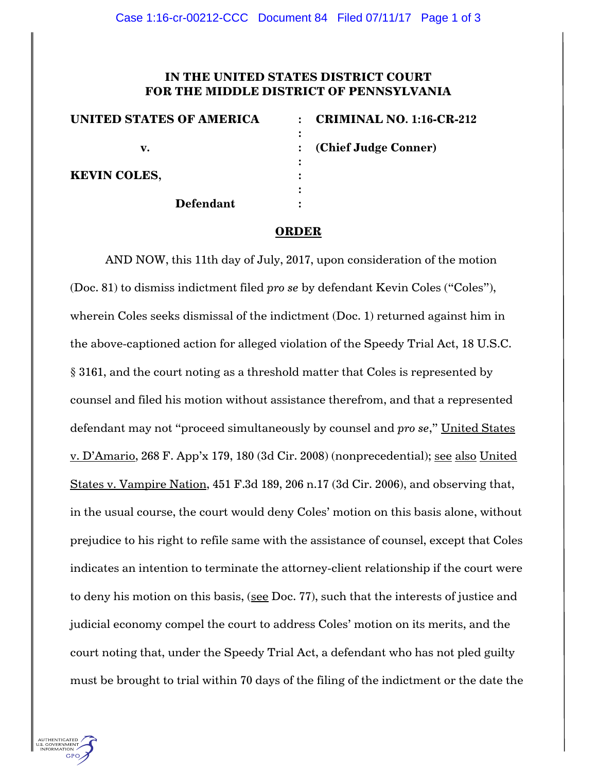## **IN THE UNITED STATES DISTRICT COURT FOR THE MIDDLE DISTRICT OF PENNSYLVANIA**

| <b>UNITED STATES OF AMERICA</b> | <b>CRIMINAL NO. 1:16-CR-212</b> |
|---------------------------------|---------------------------------|
|                                 |                                 |
| v.                              | : (Chief Judge Conner)          |
|                                 |                                 |
| <b>KEVIN COLES,</b>             |                                 |
|                                 |                                 |
| <b>Defendant</b>                |                                 |

## **ORDER**

AND NOW, this 11th day of July, 2017, upon consideration of the motion (Doc. 81) to dismiss indictment filed *pro se* by defendant Kevin Coles ("Coles"), wherein Coles seeks dismissal of the indictment (Doc. 1) returned against him in the above-captioned action for alleged violation of the Speedy Trial Act, 18 U.S.C. § 3161, and the court noting as a threshold matter that Coles is represented by counsel and filed his motion without assistance therefrom, and that a represented defendant may not "proceed simultaneously by counsel and *pro se*," United States v. D'Amario, 268 F. App'x 179, 180 (3d Cir. 2008) (nonprecedential); see also United States v. Vampire Nation, 451 F.3d 189, 206 n.17 (3d Cir. 2006), and observing that, in the usual course, the court would deny Coles' motion on this basis alone, without prejudice to his right to refile same with the assistance of counsel, except that Coles indicates an intention to terminate the attorney-client relationship if the court were to deny his motion on this basis, (see Doc. 77), such that the interests of justice and judicial economy compel the court to address Coles' motion on its merits, and the court noting that, under the Speedy Trial Act, a defendant who has not pled guilty must be brought to trial within 70 days of the filing of the indictment or the date the

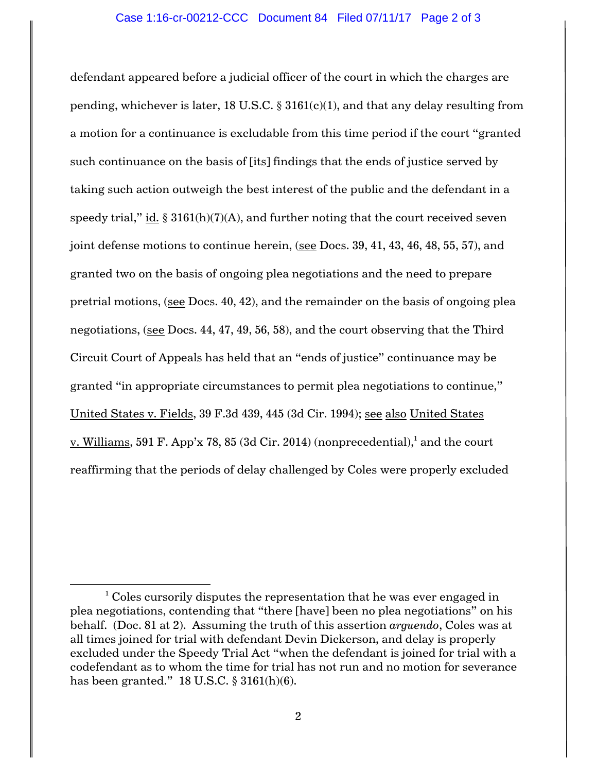defendant appeared before a judicial officer of the court in which the charges are pending, whichever is later, 18 U.S.C.  $\S 3161(c)(1)$ , and that any delay resulting from a motion for a continuance is excludable from this time period if the court "granted such continuance on the basis of [its] findings that the ends of justice served by taking such action outweigh the best interest of the public and the defendant in a speedy trial," id.  $\S 3161(h)(7)(A)$ , and further noting that the court received seven joint defense motions to continue herein, (see Docs. 39, 41, 43, 46, 48, 55, 57), and granted two on the basis of ongoing plea negotiations and the need to prepare pretrial motions, (see Docs. 40, 42), and the remainder on the basis of ongoing plea negotiations, (see Docs. 44, 47, 49, 56, 58), and the court observing that the Third Circuit Court of Appeals has held that an "ends of justice" continuance may be granted "in appropriate circumstances to permit plea negotiations to continue," United States v. Fields, 39 F.3d 439, 445 (3d Cir. 1994); see also United States v. Williams, 591 F. App'x 78, 85 (3d Cir. 2014) (nonprecedential), $^1$  and the court reaffirming that the periods of delay challenged by Coles were properly excluded

l

 $1$  Coles cursorily disputes the representation that he was ever engaged in plea negotiations, contending that "there [have] been no plea negotiations" on his behalf. (Doc. 81 at 2). Assuming the truth of this assertion *arguendo*, Coles was at all times joined for trial with defendant Devin Dickerson, and delay is properly excluded under the Speedy Trial Act "when the defendant is joined for trial with a codefendant as to whom the time for trial has not run and no motion for severance has been granted."  $18$  U.S.C.  $\S$  3161(h)(6).